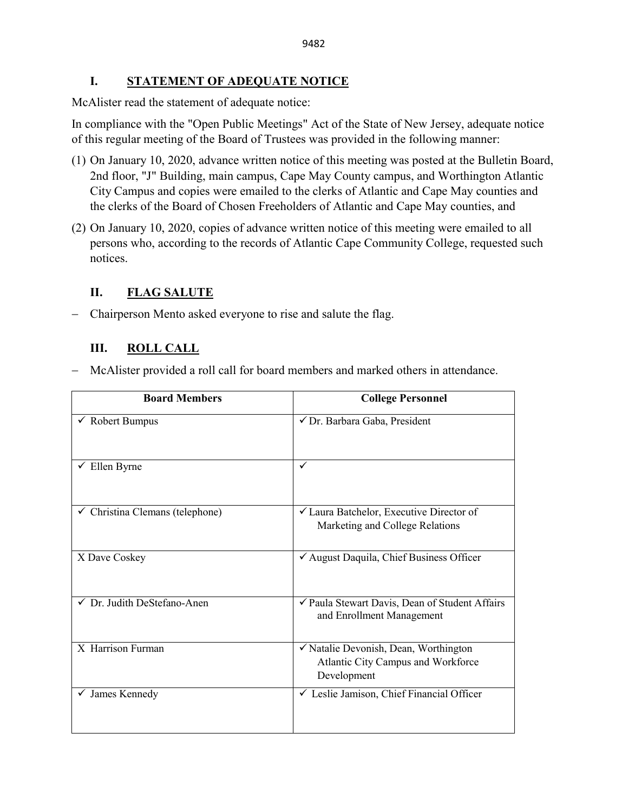### **I. STATEMENT OF ADEQUATE NOTICE**

McAlister read the statement of adequate notice:

In compliance with the "Open Public Meetings" Act of the State of New Jersey, adequate notice of this regular meeting of the Board of Trustees was provided in the following manner:

- (1) On January 10, 2020, advance written notice of this meeting was posted at the Bulletin Board, 2nd floor, "J" Building, main campus, Cape May County campus, and Worthington Atlantic City Campus and copies were emailed to the clerks of Atlantic and Cape May counties and the clerks of the Board of Chosen Freeholders of Atlantic and Cape May counties, and
- (2) On January 10, 2020, copies of advance written notice of this meeting were emailed to all persons who, according to the records of Atlantic Cape Community College, requested such notices.

# **II. FLAG SALUTE**

− Chairperson Mento asked everyone to rise and salute the flag.

# **III. ROLL CALL**

− McAlister provided a roll call for board members and marked others in attendance.

| <b>Board Members</b>                       | <b>College Personnel</b>                                                                   |
|--------------------------------------------|--------------------------------------------------------------------------------------------|
| Robert Bumpus                              | √ Dr. Barbara Gaba, President                                                              |
| Ellen Byrne                                | ✓                                                                                          |
| $\checkmark$ Christina Clemans (telephone) | ✓ Laura Batchelor, Executive Director of<br>Marketing and College Relations                |
| X Dave Coskey                              | √ August Daquila, Chief Business Officer                                                   |
| Dr. Judith DeStefano-Anen                  | √ Paula Stewart Davis, Dean of Student Affairs<br>and Enrollment Management                |
| X Harrison Furman                          | √ Natalie Devonish, Dean, Worthington<br>Atlantic City Campus and Workforce<br>Development |
| $\checkmark$ James Kennedy                 | └ Leslie Jamison, Chief Financial Officer                                                  |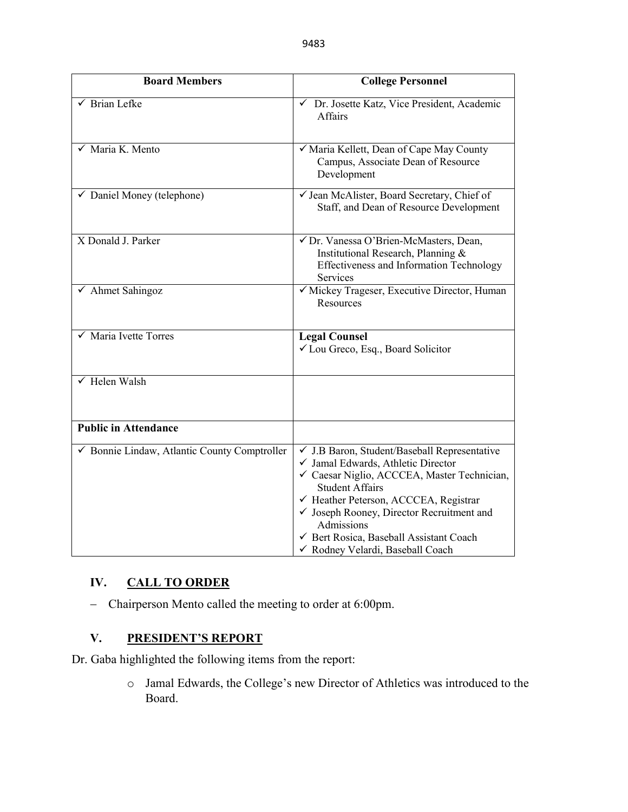| <b>Board Members</b>                         | <b>College Personnel</b>                                                                                                                                                                                                                                                                                                                                  |
|----------------------------------------------|-----------------------------------------------------------------------------------------------------------------------------------------------------------------------------------------------------------------------------------------------------------------------------------------------------------------------------------------------------------|
| $\sqrt{\phantom{1}}$ Brian Lefke             | ← Dr. Josette Katz, Vice President, Academic<br>Affairs                                                                                                                                                                                                                                                                                                   |
| $\checkmark$ Maria K. Mento                  | V Maria Kellett, Dean of Cape May County<br>Campus, Associate Dean of Resource<br>Development                                                                                                                                                                                                                                                             |
| $\checkmark$ Daniel Money (telephone)        | √ Jean McAlister, Board Secretary, Chief of<br>Staff, and Dean of Resource Development                                                                                                                                                                                                                                                                    |
| X Donald J. Parker                           | √ Dr. Vanessa O'Brien-McMasters, Dean,<br>Institutional Research, Planning &<br>Effectiveness and Information Technology<br>Services                                                                                                                                                                                                                      |
| $\checkmark$ Ahmet Sahingoz                  | √ Mickey Trageser, Executive Director, Human<br>Resources                                                                                                                                                                                                                                                                                                 |
| $\checkmark$ Maria Ivette Torres             | <b>Legal Counsel</b><br>✓ Lou Greco, Esq., Board Solicitor                                                                                                                                                                                                                                                                                                |
| $\sqrt{\text{Helen Walsh}}$                  |                                                                                                                                                                                                                                                                                                                                                           |
| <b>Public in Attendance</b>                  |                                                                                                                                                                                                                                                                                                                                                           |
| ✔ Bonnie Lindaw, Atlantic County Comptroller | √ J.B Baron, Student/Baseball Representative<br>√ Jamal Edwards, Athletic Director<br>√ Caesar Niglio, ACCCEA, Master Technician,<br><b>Student Affairs</b><br>← Heather Peterson, ACCCEA, Registrar<br>$\checkmark$ Joseph Rooney, Director Recruitment and<br>Admissions<br>√ Bert Rosica, Baseball Assistant Coach<br>√ Rodney Velardi, Baseball Coach |

### **IV. CALL TO ORDER**

− Chairperson Mento called the meeting to order at 6:00pm.

### **V. PRESIDENT'S REPORT**

Dr. Gaba highlighted the following items from the report:

o Jamal Edwards, the College's new Director of Athletics was introduced to the Board.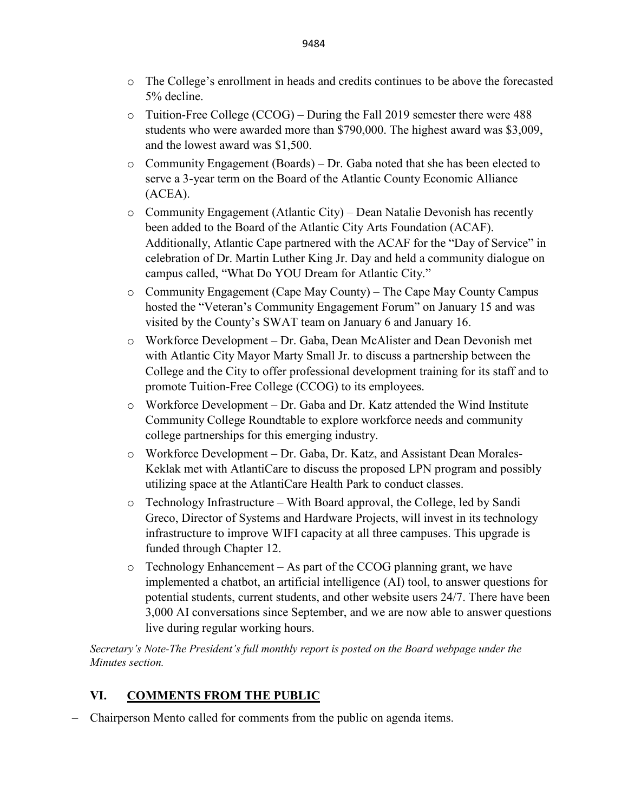- o The College's enrollment in heads and credits continues to be above the forecasted 5% decline.
- $\circ$  Tuition-Free College (CCOG) During the Fall 2019 semester there were 488 students who were awarded more than \$790,000. The highest award was \$3,009, and the lowest award was \$1,500.
- o Community Engagement (Boards) Dr. Gaba noted that she has been elected to serve a 3-year term on the Board of the Atlantic County Economic Alliance (ACEA).
- o Community Engagement (Atlantic City) Dean Natalie Devonish has recently been added to the Board of the Atlantic City Arts Foundation (ACAF). Additionally, Atlantic Cape partnered with the ACAF for the "Day of Service" in celebration of Dr. Martin Luther King Jr. Day and held a community dialogue on campus called, "What Do YOU Dream for Atlantic City."
- o Community Engagement (Cape May County) The Cape May County Campus hosted the "Veteran's Community Engagement Forum" on January 15 and was visited by the County's SWAT team on January 6 and January 16.
- o Workforce Development Dr. Gaba, Dean McAlister and Dean Devonish met with Atlantic City Mayor Marty Small Jr. to discuss a partnership between the College and the City to offer professional development training for its staff and to promote Tuition-Free College (CCOG) to its employees.
- o Workforce Development Dr. Gaba and Dr. Katz attended the Wind Institute Community College Roundtable to explore workforce needs and community college partnerships for this emerging industry.
- o Workforce Development Dr. Gaba, Dr. Katz, and Assistant Dean Morales-Keklak met with AtlantiCare to discuss the proposed LPN program and possibly utilizing space at the AtlantiCare Health Park to conduct classes.
- $\circ$  Technology Infrastructure With Board approval, the College, led by Sandi Greco, Director of Systems and Hardware Projects, will invest in its technology infrastructure to improve WIFI capacity at all three campuses. This upgrade is funded through Chapter 12.
- o Technology Enhancement As part of the CCOG planning grant, we have implemented a chatbot, an artificial intelligence (AI) tool, to answer questions for potential students, current students, and other website users 24/7. There have been 3,000 AI conversations since September, and we are now able to answer questions live during regular working hours.

*Secretary's Note-The President's full monthly report is posted on the Board webpage under the Minutes section.*

### **VI. COMMENTS FROM THE PUBLIC**

− Chairperson Mento called for comments from the public on agenda items.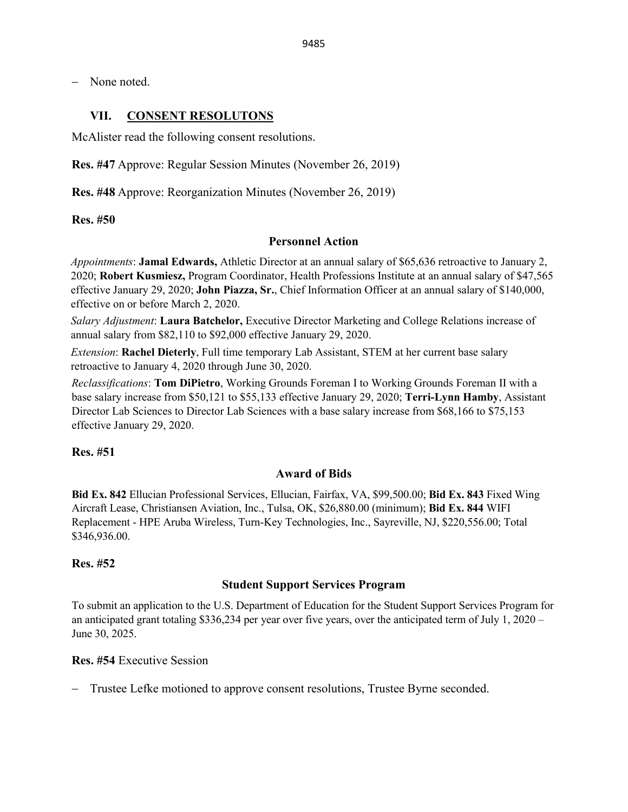− None noted.

#### **VII. CONSENT RESOLUTONS**

McAlister read the following consent resolutions.

**Res. #47** Approve: Regular Session Minutes (November 26, 2019)

**Res. #48** Approve: Reorganization Minutes (November 26, 2019)

**Res. #50** 

#### **Personnel Action**

*Appointments*: **Jamal Edwards,** Athletic Director at an annual salary of \$65,636 retroactive to January 2, 2020; **Robert Kusmiesz,** Program Coordinator, Health Professions Institute at an annual salary of \$47,565 effective January 29, 2020; **John Piazza, Sr.**, Chief Information Officer at an annual salary of \$140,000, effective on or before March 2, 2020.

*Salary Adjustment*: **Laura Batchelor,** Executive Director Marketing and College Relations increase of annual salary from \$82,110 to \$92,000 effective January 29, 2020.

*Extension*: **Rachel Dieterly**, Full time temporary Lab Assistant, STEM at her current base salary retroactive to January 4, 2020 through June 30, 2020.

*Reclassifications*: **Tom DiPietro**, Working Grounds Foreman I to Working Grounds Foreman II with a base salary increase from \$50,121 to \$55,133 effective January 29, 2020; **Terri-Lynn Hamby**, Assistant Director Lab Sciences to Director Lab Sciences with a base salary increase from \$68,166 to \$75,153 effective January 29, 2020.

#### **Res. #51**

#### **Award of Bids**

**Bid Ex. 842** Ellucian Professional Services, Ellucian, Fairfax, VA, \$99,500.00; **Bid Ex. 843** Fixed Wing Aircraft Lease, Christiansen Aviation, Inc., Tulsa, OK, \$26,880.00 (minimum); **Bid Ex. 844** WIFI Replacement - HPE Aruba Wireless, Turn-Key Technologies, Inc., Sayreville, NJ, \$220,556.00; Total \$346,936.00.

#### **Res. #52**

#### **Student Support Services Program**

To submit an application to the U.S. Department of Education for the Student Support Services Program for an anticipated grant totaling \$336,234 per year over five years, over the anticipated term of July 1, 2020 – June 30, 2025.

### **Res. #54** Executive Session

− Trustee Lefke motioned to approve consent resolutions, Trustee Byrne seconded.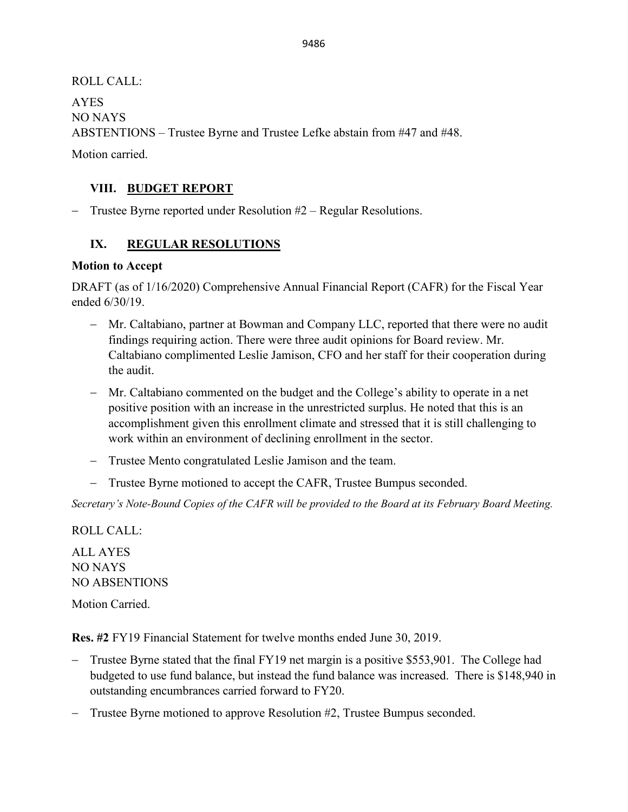ROLL CALL: AYES NO NAYS ABSTENTIONS – Trustee Byrne and Trustee Lefke abstain from #47 and #48.

Motion carried.

# **VIII. BUDGET REPORT**

− Trustee Byrne reported under Resolution #2 – Regular Resolutions.

# **IX. REGULAR RESOLUTIONS**

### **Motion to Accept**

DRAFT (as of 1/16/2020) Comprehensive Annual Financial Report (CAFR) for the Fiscal Year ended 6/30/19.

- − Mr. Caltabiano, partner at Bowman and Company LLC, reported that there were no audit findings requiring action. There were three audit opinions for Board review. Mr. Caltabiano complimented Leslie Jamison, CFO and her staff for their cooperation during the audit.
- − Mr. Caltabiano commented on the budget and the College's ability to operate in a net positive position with an increase in the unrestricted surplus. He noted that this is an accomplishment given this enrollment climate and stressed that it is still challenging to work within an environment of declining enrollment in the sector.
- − Trustee Mento congratulated Leslie Jamison and the team.
- − Trustee Byrne motioned to accept the CAFR, Trustee Bumpus seconded.

*Secretary's Note-Bound Copies of the CAFR will be provided to the Board at its February Board Meeting.* 

ROLL CALL: ALL AYES NO NAYS

NO ABSENTIONS

Motion Carried.

**Res. #2** FY19 Financial Statement for twelve months ended June 30, 2019.

- Trustee Byrne stated that the final FY19 net margin is a positive \$553,901. The College had budgeted to use fund balance, but instead the fund balance was increased. There is \$148,940 in outstanding encumbrances carried forward to FY20.
- − Trustee Byrne motioned to approve Resolution #2, Trustee Bumpus seconded.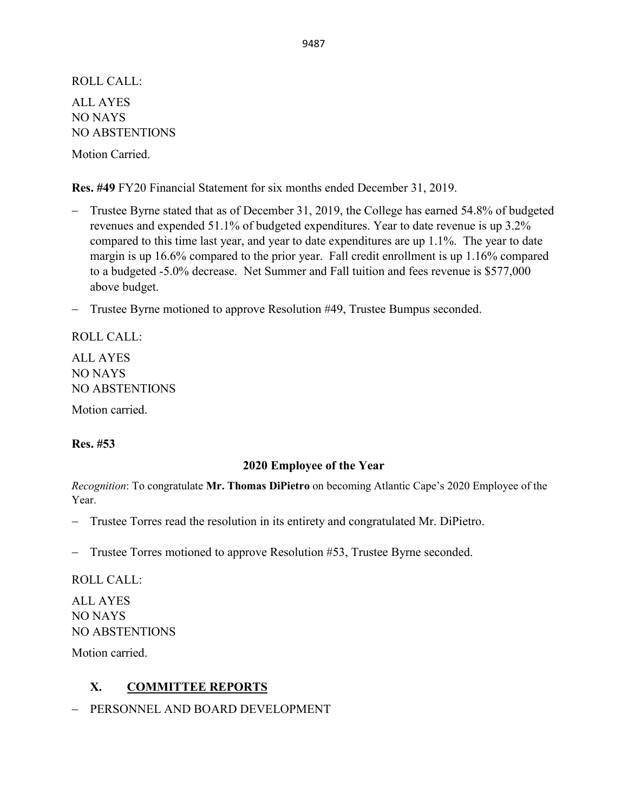ROLL CALL: ALL AYES NO NAYS NO ABSTENTIONS

Motion Carried.

**Res. #49** FY20 Financial Statement for six months ended December 31, 2019.

- − Trustee Byrne stated that as of December 31, 2019, the College has earned 54.8% of budgeted revenues and expended 51.1% of budgeted expenditures. Year to date revenue is up 3.2% compared to this time last year, and year to date expenditures are up 1.1%. The year to date margin is up 16.6% compared to the prior year. Fall credit enrollment is up 1.16% compared to a budgeted -5.0% decrease. Net Summer and Fall tuition and fees revenue is \$577,000 above budget.
- − Trustee Byrne motioned to approve Resolution #49, Trustee Bumpus seconded.

ROLL CALL: ALL AYES NO NAYS NO ABSTENTIONS Motion carried.

#### **Res. #53**

#### **2020 Employee of the Year**

*Recognition*: To congratulate **Mr. Thomas DiPietro** on becoming Atlantic Cape's 2020 Employee of the Year.

− Trustee Torres read the resolution in its entirety and congratulated Mr. DiPietro.

− Trustee Torres motioned to approve Resolution #53, Trustee Byrne seconded.

ROLL CALL:

ALL AYES NO NAYS NO ABSTENTIONS

Motion carried.

### **X. COMMITTEE REPORTS**

− PERSONNEL AND BOARD DEVELOPMENT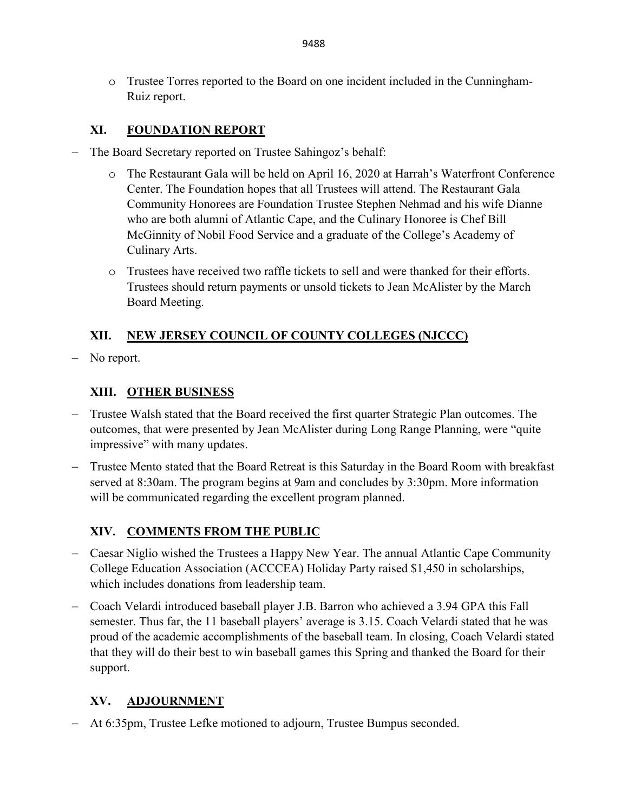o Trustee Torres reported to the Board on one incident included in the Cunningham-Ruiz report.

# **XI. FOUNDATION REPORT**

- The Board Secretary reported on Trustee Sahingoz's behalf:
	- o The Restaurant Gala will be held on April 16, 2020 at Harrah's Waterfront Conference Center. The Foundation hopes that all Trustees will attend. The Restaurant Gala Community Honorees are Foundation Trustee Stephen Nehmad and his wife Dianne who are both alumni of Atlantic Cape, and the Culinary Honoree is Chef Bill McGinnity of Nobil Food Service and a graduate of the College's Academy of Culinary Arts.
	- o Trustees have received two raffle tickets to sell and were thanked for their efforts. Trustees should return payments or unsold tickets to Jean McAlister by the March Board Meeting.

# **XII. NEW JERSEY COUNCIL OF COUNTY COLLEGES (NJCCC)**

− No report.

# **XIII. OTHER BUSINESS**

- − Trustee Walsh stated that the Board received the first quarter Strategic Plan outcomes. The outcomes, that were presented by Jean McAlister during Long Range Planning, were "quite impressive" with many updates.
- − Trustee Mento stated that the Board Retreat is this Saturday in the Board Room with breakfast served at 8:30am. The program begins at 9am and concludes by 3:30pm. More information will be communicated regarding the excellent program planned.

# **XIV. COMMENTS FROM THE PUBLIC**

- − Caesar Niglio wished the Trustees a Happy New Year. The annual Atlantic Cape Community College Education Association (ACCCEA) Holiday Party raised \$1,450 in scholarships, which includes donations from leadership team.
- − Coach Velardi introduced baseball player J.B. Barron who achieved a 3.94 GPA this Fall semester. Thus far, the 11 baseball players' average is 3.15. Coach Velardi stated that he was proud of the academic accomplishments of the baseball team. In closing, Coach Velardi stated that they will do their best to win baseball games this Spring and thanked the Board for their support.

### **XV. ADJOURNMENT**

− At 6:35pm, Trustee Lefke motioned to adjourn, Trustee Bumpus seconded.